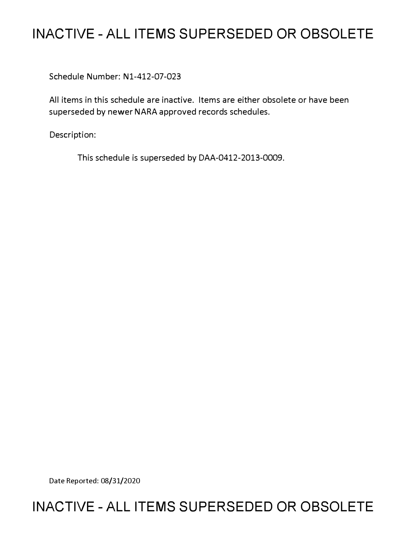# **INACTIVE - ALL ITEMS SUPERSEDED OR OBSOLETE**

Schedule Number: Nl-412-07-023

All items in this schedule are inactive. Items are either obsolete or have been superseded by newer NARA approved records schedules.

Description:

This schedule is superseded by DAA-0412-2013-0009.

Date Reported: 08/31/2020

# **INACTIVE - ALL ITEMS SUPERSEDED OR OBSOLETE**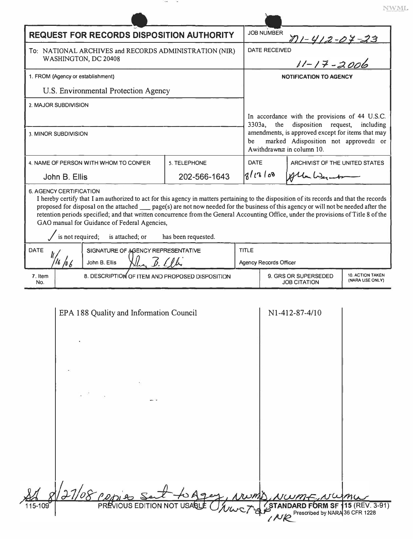|                                                                                                                                                                                                                                                                                                                                                                                                                                                                                                                                                   |                                                                                   |              |                                                                                                                                                                                               |                     | NWML            |  |
|---------------------------------------------------------------------------------------------------------------------------------------------------------------------------------------------------------------------------------------------------------------------------------------------------------------------------------------------------------------------------------------------------------------------------------------------------------------------------------------------------------------------------------------------------|-----------------------------------------------------------------------------------|--------------|-----------------------------------------------------------------------------------------------------------------------------------------------------------------------------------------------|---------------------|-----------------|--|
| <b>REQUEST FOR RECORDS DISPOSITION AUTHORITY</b>                                                                                                                                                                                                                                                                                                                                                                                                                                                                                                  |                                                                                   |              | <b>JOB NUMBER</b>                                                                                                                                                                             |                     |                 |  |
| To: NATIONAL ARCHIVES and RECORDS ADMINISTRATION (NIR)<br>WASHINGTON, DC 20408                                                                                                                                                                                                                                                                                                                                                                                                                                                                    |                                                                                   |              | $11 - 412 - 07 - 23$<br>$11 - 17 - 2006$<br><b>DATE RECEIVED</b>                                                                                                                              |                     |                 |  |
| 1. FROM (Agency or establishment)                                                                                                                                                                                                                                                                                                                                                                                                                                                                                                                 |                                                                                   |              | <b>NOTIFICATION TO AGENCY</b>                                                                                                                                                                 |                     |                 |  |
| U.S. Environmental Protection Agency                                                                                                                                                                                                                                                                                                                                                                                                                                                                                                              |                                                                                   |              |                                                                                                                                                                                               |                     |                 |  |
| 2. MAJOR SUBDIVISION                                                                                                                                                                                                                                                                                                                                                                                                                                                                                                                              |                                                                                   |              | In accordance with the provisions of 44 U.S.C.                                                                                                                                                |                     |                 |  |
| 3. MINOR SUBDIVISION                                                                                                                                                                                                                                                                                                                                                                                                                                                                                                                              |                                                                                   |              | disposition<br>3303a,<br>the<br>request,<br>including<br>amendments, is approved except for items that may<br>marked Adisposition not approved= or<br>be<br>Awithdrawn $\equiv$ in column 10. |                     |                 |  |
| 4. NAME OF PERSON WITH WHOM TO CONFER                                                                                                                                                                                                                                                                                                                                                                                                                                                                                                             | 5. TELEPHONE                                                                      | <b>DATE</b>  | ARCHIVIST OF THE UNITED STATES                                                                                                                                                                |                     |                 |  |
| John B. Ellis                                                                                                                                                                                                                                                                                                                                                                                                                                                                                                                                     | 202-566-1643                                                                      |              | 8/13/8                                                                                                                                                                                        | Alla Werk           |                 |  |
| <b>6. AGENCY CERTIFICATION</b><br>I hereby certify that I am authorized to act for this agency in matters pertaining to the disposition of its records and that the records<br>proposed for disposal on the attached __ page(s) are not now needed for the business of this agency or will not be needed after the<br>retention periods specified; and that written concurrence from the General Accounting Office, under the provisions of Title 8 of the<br>GAO manual for Guidance of Federal Agencies,<br>is not required;<br>is attached; or | has been requested.                                                               |              |                                                                                                                                                                                               |                     |                 |  |
| SIGNATURE OF AGENCY REPRESENTATIVE<br>DATE                                                                                                                                                                                                                                                                                                                                                                                                                                                                                                        |                                                                                   | <b>TITLE</b> |                                                                                                                                                                                               |                     |                 |  |
| 7. Item                                                                                                                                                                                                                                                                                                                                                                                                                                                                                                                                           | 6.11<br>16/06<br>John B. Ellis<br>8. DESCRIPTION OF ITEM AND PROPOSED DISPOSITION |              | Agency Records Officer<br>9. GRS OR SUPERSEDED<br><b>10. ACTION TAKEN</b>                                                                                                                     |                     |                 |  |
| No.                                                                                                                                                                                                                                                                                                                                                                                                                                                                                                                                               |                                                                                   |              |                                                                                                                                                                                               | <b>JOB CITATION</b> | (NARA USE ONLY) |  |
| EPA 188 Quality and Information Council                                                                                                                                                                                                                                                                                                                                                                                                                                                                                                           |                                                                                   |              |                                                                                                                                                                                               | N1-412-87-4/10      |                 |  |
|                                                                                                                                                                                                                                                                                                                                                                                                                                                                                                                                                   |                                                                                   |              |                                                                                                                                                                                               |                     |                 |  |

|         | 8/27/08 popies set to Ages, Numb, NWME, Nume                                                                   |
|---------|----------------------------------------------------------------------------------------------------------------|
| 115-109 | PREVIOUS EDITION NOT USABLE <i>WWC7</i> STANDARD FORM SF 115 (REV. 3-91)<br>AJO Prescribed by NARA 36 CFR 1228 |
|         |                                                                                                                |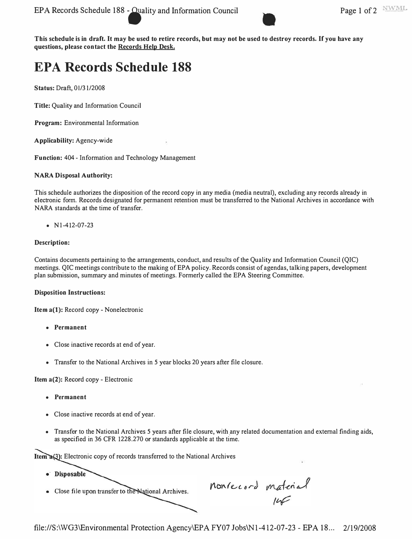**This schedule is in draft. It may be used to retire records, but may not be used to destroy records. If you have any**  questions, please contact the **Records Help Desk.** 

# **EPA Records Schedule 188**

**Status:** Draft, 01/31/2008

**Title:** Quality and Information Council

**Program:** Environmental Information

**Applicability:** Agency-wide

**Function:** 404 - Information and Technology Management

## **NARA Disposal Authority:**

This schedule authorizes the disposition of the record copy in any media (media neutral), excluding any records already in electronic form. Records designated for permanent retention must be transferred to the National Archives in accordance with NARA standards at the time of transfer.

• Nl-412-07-23

## **Description:**

Contains documents pertaining to the arrangements, conduct, and results of the Quality and Information Council (QIC) meetings. QIC meetings contribute to the making of EPA policy. Records consist of agendas, talking papers, development plan submission, summary and minutes of meetings. Formerly called the EPA Steering Committee.

#### **Disposition Instructions:**

**Item a(l):** Record copy - Nonelectronic

- **Permanent**
- Close inactive records at end of year.
- Transfer to the National Archives in 5 year blocks 20 years after file closure.

# **Item a(2):** Record copy - Electronic

- **Permanent**
- Close inactive records at end of year.
- Transfer to the National Archives 5 years after file closure, with any related documentation and external finding aids, as specified in 36 CFR 1228.270 or standards applicable at the time.

Item a(3): Electronic copy of records transferred to the National Archives

- · Disposable
- Close file upon transfer to the National Archives.

nonrecord material